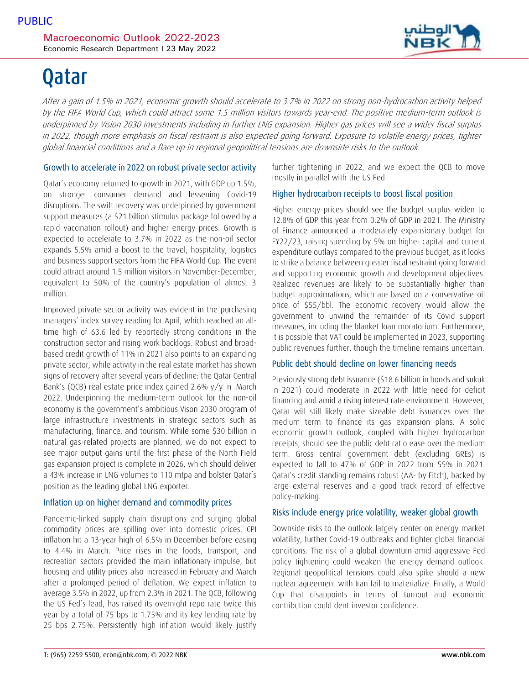# Qatar

After a gain of 1.5% in 2021, economic growth should accelerate to 3.7% in 2022 on strong non-hydrocarbon activity helped by the FIFA World Cup, which could attract some 1.5 million visitors towards year-end. The positive medium-term outlook is underpinned by Vision 2030 investments including in further LNG expansion. Higher gas prices will see a wider fiscal surplus in 2022, though more emphasis on fiscal restraint is also expected going forward. Exposure to volatile energy prices, tighter global financial conditions and a flare up in regional geopolitical tensions are downside risks to the outlook.

### Growth to accelerate in 2022 on robust private sector activity

Qatar's economy returned to growth in 2021, with GDP up 1.5%, on stronger consumer demand and lessening Covid-19 disruptions. The swift recovery was underpinned by government support measures (a \$21 billion stimulus package followed by a rapid vaccination rollout) and higher energy prices. Growth is expected to accelerate to 3.7% in 2022 as the non-oil sector expands 5.5% amid a boost to the travel, hospitality, logistics and business support sectors from the FIFA World Cup. The event could attract around 1.5 million visitors in November-December, equivalent to 50% of the country's population of almost 3 million.

Improved private sector activity was evident in the purchasing managers' index survey reading for April, which reached an alltime high of 63.6 led by reportedly strong conditions in the construction sector and rising work backlogs. Robust and broadbased credit growth of 11% in 2021 also points to an expanding private sector, while activity in the real estate market has shown signs of recovery after several years of decline: the Qatar Central Bank's (QCB) real estate price index gained 2.6% y/y in March 2022. Underpinning the medium-term outlook for the non-oil economy is the government's ambitious Vison 2030 program of large infrastructure investments in strategic sectors such as manufacturing, finance, and tourism. While some \$30 billion in natural gas-related projects are planned, we do not expect to see major output gains until the first phase of the North Field gas expansion project is complete in 2026, which should deliver a 43% increase in LNG volumes to 110 mtpa and bolster Qatar's position as the leading global LNG exporter.

# Inflation up on higher demand and commodity prices

Pandemic-linked supply chain disruptions and surging global commodity prices are spilling over into domestic prices. CPI inflation hit a 13-year high of 6.5% in December before easing to 4.4% in March. Price rises in the foods, transport, and recreation sectors provided the main inflationary impulse, but housing and utility prices also increased in February and March after a prolonged period of deflation. We expect inflation to average 3.5% in 2022, up from 2.3% in 2021. The QCB, following the US Fed's lead, has raised its overnight repo rate twice this year by a total of 75 bps to 1.75% and its key lending rate by 25 bps 2.75%. Persistently high inflation would likely justify

further tightening in 2022, and we expect the QCB to move mostly in parallel with the US Fed.

# Higher hydrocarbon receipts to boost fiscal position

Higher energy prices should see the budget surplus widen to 12.8% of GDP this year from 0.2% of GDP in 2021. The Ministry of Finance announced a moderately expansionary budget for FY22/23, raising spending by 5% on higher capital and current expenditure outlays compared to the previous budget, as it looks to strike a balance between greater fiscal restraint going forward and supporting economic growth and development objectives. Realized revenues are likely to be substantially higher than budget approximations, which are based on a conservative oil price of \$55/bbl. The economic recovery would allow the government to unwind the remainder of its Covid support measures, including the blanket loan moratorium. Furthermore, it is possible that VAT could be implemented in 2023, supporting public revenues further, though the timeline remains uncertain.

# Public debt should decline on lower financing needs

Previously strong debt issuance (\$18.6 billion in bonds and sukuk in 2021) could moderate in 2022 with little need for deficit financing and amid a rising interest rate environment. However, Qatar will still likely make sizeable debt issuances over the medium term to finance its gas expansion plans. A solid economic growth outlook, coupled with higher hydrocarbon receipts, should see the public debt ratio ease over the medium term. Gross central government debt (excluding GREs) is expected to fall to 47% of GDP in 2022 from 55% in 2021. Qatar's credit standing remains robust (AA- by Fitch), backed by large external reserves and a good track record of effective policy-making.

# Risks include energy price volatility, weaker global growth

Downside risks to the outlook largely center on energy market volatility, further Covid-19 outbreaks and tighter global financial conditions. The risk of a global downturn amid aggressive Fed policy tightening could weaken the energy demand outlook. Regional geopolitical tensions could also spike should a new nuclear agreement with Iran fail to materialize. Finally, a World Cup that disappoints in terms of turnout and economic contribution could dent investor confidence.